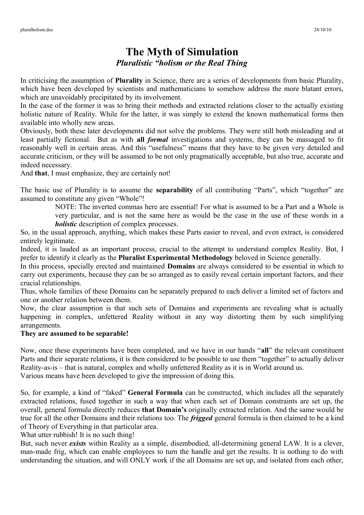## **The Myth of Simulation** *Pluralistic "holism or the Real Thing*

In criticising the assumption of **Plurality** in Science, there are a series of developments from basic Plurality, which have been developed by scientists and mathematicians to somehow address the more blatant errors, which are unavoidably precipitated by its involvement.

In the case of the former it was to bring their methods and extracted relations closer to the actually existing holistic nature of Reality. While for the latter, it was simply to extend the known mathematical forms then available into wholly new areas.

Obviously, both these later developments did not solve the problems. They were still both misleading and at least partially fictional. But as with **all** *formal* investigations and systems, they can be massaged to fit reasonably well in certain areas. And this "usefulness" means that they have to be given very detailed and accurate criticism, or they will be assumed to be not only pragmatically acceptable, but also true, accurate and indeed necessary.

And **that**, I must emphasize, they are certainly not!

The basic use of Plurality is to assume the **separability** of all contributing "Parts", which "together" are assumed to constitute any given "Whole"!

> NOTE: The inverted commas here are essential! For what is assumed to be a Part and a Whole is very particular, and is not the same here as would be the case in the use of these words in a *holistic* description of complex processes.

So, in the usual approach, anything, which makes these Parts easier to reveal, and even extract, is considered entirely legitimate.

Indeed, it is lauded as an important process, crucial to the attempt to understand complex Reality. But, I prefer to identify it clearly as the **Pluralist Experimental Methodology** beloved in Science generally.

In this process, specially erected and maintained **Domains** are always considered to be essential in which to carry out experiments, because they can be so arranged as to easily reveal certain important factors, and their crucial relationships.

Thus, whole families of these Domains can be separately prepared to each deliver a limited set of factors and one or another relation between them.

Now, the clear assumption is that such sets of Domains and experiments are revealing what is actually happening in complex, unfettered Reality without in any way distorting them by such simplifying arrangements.

## **They are assumed to be separable!**

Now, once these experiments have been completed, and we have in our hands "**all**" the relevant constituent Parts and their separate relations, it is then considered to be possible to use them "together" to actually deliver Reality-as-is – that is natural, complex and wholly unfettered Reality as it is in World around us. Various means have been developed to give the impression of doing this.

So, for example, a kind of "faked" **General Formula** can be constructed, which includes all the separately extracted relations, fused together in such a way that when each set of Domain constraints are set up, the overall, general formula directly reduces **that Domain's** originally extracted relation. And the same would be true for all the other Domains and their relations too. The *frigged* general formula is then claimed to be a kind of Theory of Everything in that particular area.

What utter rubbish! It is no such thing!

But, such never *exists* within Reality as a simple, disembodied, all-determining general LAW. It is a clever, man-made frig, which can enable employees to turn the handle and get the results. It is nothing to do with understanding the situation, and will ONLY work if the all Domains are set up, and isolated from each other,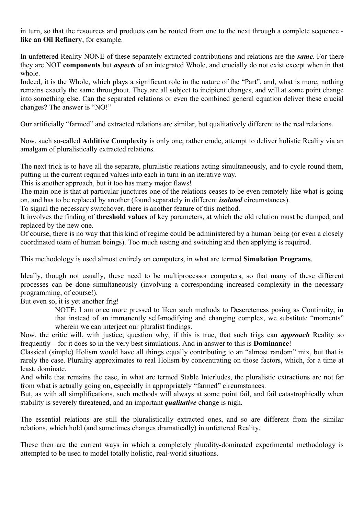in turn, so that the resources and products can be routed from one to the next through a complete sequence **like an Oil Refinery**, for example.

In unfettered Reality NONE of these separately extracted contributions and relations are the *same*. For there they are NOT **components** but *aspects* of an integrated Whole, and crucially do not exist except when in that whole.

Indeed, it is the Whole, which plays a significant role in the nature of the "Part", and, what is more, nothing remains exactly the same throughout. They are all subject to incipient changes, and will at some point change into something else. Can the separated relations or even the combined general equation deliver these crucial changes? The answer is "NO!"

Our artificially "farmed" and extracted relations are similar, but qualitatively different to the real relations.

Now, such so-called **Additive Complexity** is only one, rather crude, attempt to deliver holistic Reality via an amalgam of pluralistically extracted relations.

The next trick is to have all the separate, pluralistic relations acting simultaneously, and to cycle round them, putting in the current required values into each in turn in an iterative way.

This is another approach, but it too has many major flaws!

The main one is that at particular junctures one of the relations ceases to be even remotely like what is going on, and has to be replaced by another (found separately in different *isolated* circumstances).

To signal the necessary switchover, there is another feature of this method.

It involves the finding of **threshold values** of key parameters, at which the old relation must be dumped, and replaced by the new one.

Of course, there is no way that this kind of regime could be administered by a human being (or even a closely coordinated team of human beings). Too much testing and switching and then applying is required.

This methodology is used almost entirely on computers, in what are termed **Simulation Programs**.

Ideally, though not usually, these need to be multiprocessor computers, so that many of these different processes can be done simultaneously (involving a corresponding increased complexity in the necessary programming, of course!).

But even so, it is yet another frig!

NOTE: I am once more pressed to liken such methods to Descreteness posing as Continuity, in that instead of an immanently self-modifying and changing complex, we substitute "moments" wherein we can interject our pluralist findings.

Now, the critic will, with justice, question why, if this is true, that such frigs can *approach* Reality so frequently – for it does so in the very best simulations. And in answer to this is **Dominance**!

Classical (simple) Holism would have all things equally contributing to an "almost random" mix, but that is rarely the case. Plurality approximates to real Holism by concentrating on those factors, which, for a time at least, dominate.

And while that remains the case, in what are termed Stable Interludes, the pluralistic extractions are not far from what is actually going on, especially in appropriately "farmed" circumstances.

But, as with all simplifications, such methods will always at some point fail, and fail catastrophically when stability is severely threatened, and an important *qualitative* change is nigh.

The essential relations are still the pluralistically extracted ones, and so are different from the similar relations, which hold (and sometimes changes dramatically) in unfettered Reality.

These then are the current ways in which a completely plurality-dominated experimental methodology is attempted to be used to model totally holistic, real-world situations.